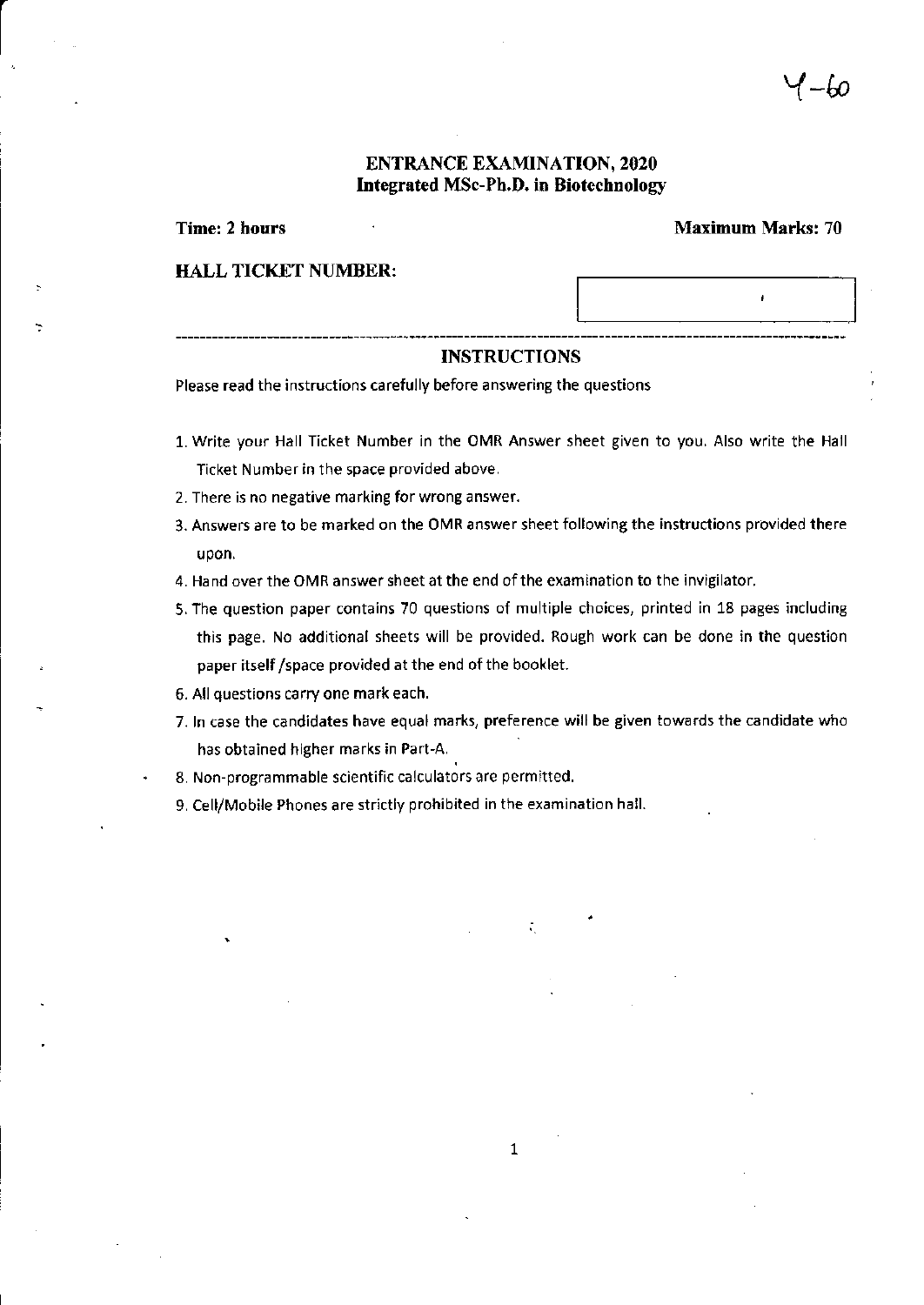### ENTRANCE EXAMINATION, 2020 Integrated MSc-Ph.D. in Biotechnology

Time: 2 hours Maximum Marks: 70

ł

#### HALL TICKET NUMBER:

#### INSTRUCTIONS

Please read the instructions carefully before answering the questions

- 1. write your Hall Ticket Number in the OMR Answer sheet given to you, Also write the Hall Ticket Number in the space provided above.
- 2. There is no negative marking for wrong answer.
- 3. Answers are to be marked on the OMR answer sheet following the instructions provided there upon.
- 4. Hand over the OMR answer sheet at the end of the examination to the invigilator.
- 5. The question paper contains 70 questions of multiple choices, printed in 18 pages including this page. No additional sheets will be provided. Rough work can be done in the question paper itself /space provided at the end of the booklet.
- 6. All questions carry one mark each.
- 7. In case the candidates have equal marks, preference will be given towards the candidate who has obtained higher marks in Part-A.
- 8. Non-programmable scientific calculators are permitted.
- 9. cell/Mobile Phones are strictly prohibited in the examination hall.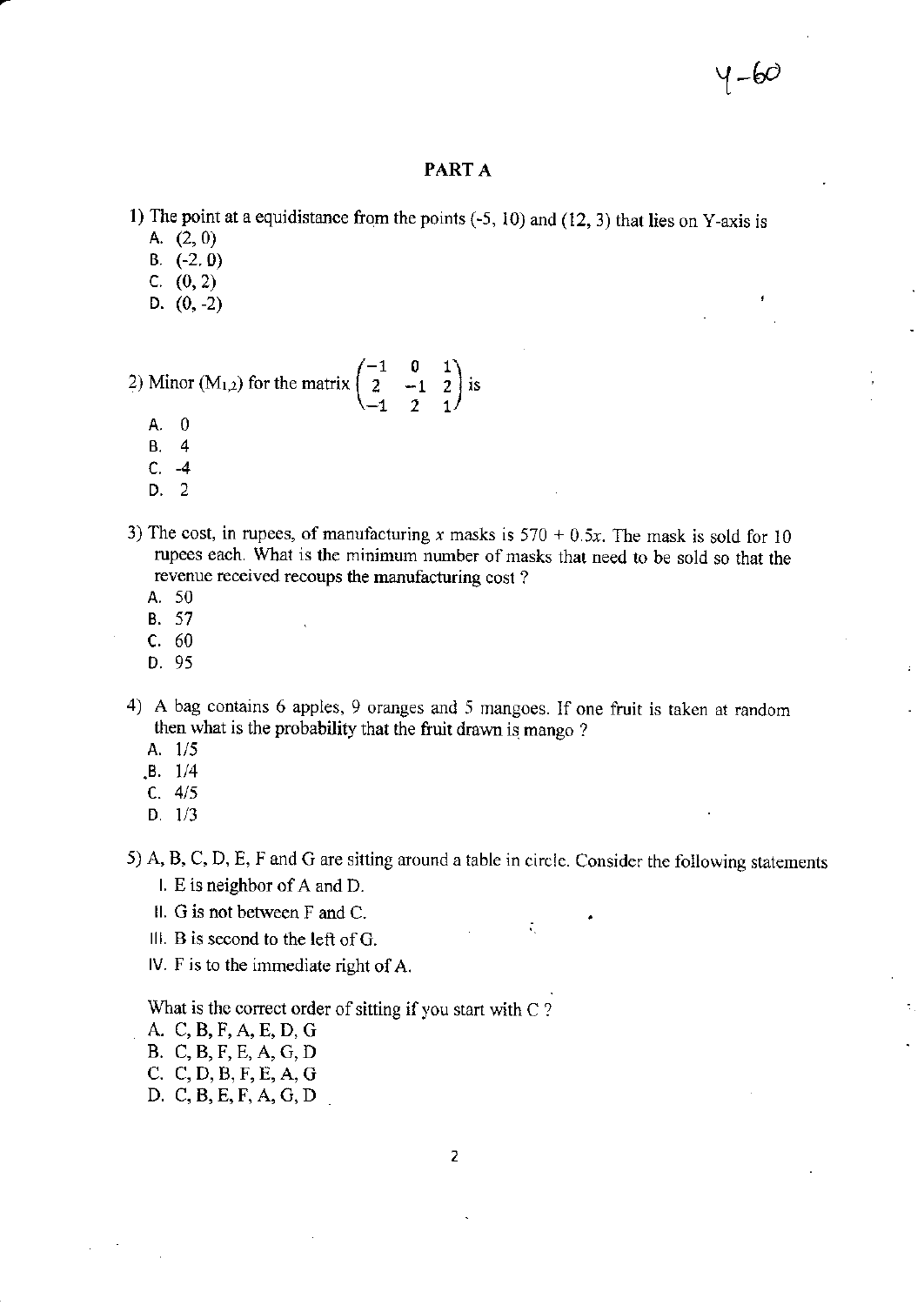#### PART A

- 1) The point at a equidistance from the points  $(-5, 10)$  and  $(12, 3)$  that lies on Y-axis is
	- A. (2,0)
	- B. (-2.0)
	- c. (0,2)
	- D.  $(0, -2)$

# $\begin{pmatrix} -1 & 0 & 1 \end{pmatrix}$ 2) Minor (M<sub>1,2</sub>) for the matrix  $\begin{pmatrix} 2 & -1 & 2 \\ -1 & 2 & 1 \end{pmatrix}$  is

- A.0
- 8,4
- $C. -4$
- D. 2
- 3) The cost, in rupees, of manufacturing x masks is  $570 + 0.5x$ . The mask is sold for 10 rupees each. What is the minimum number of masks that need to be sold so that the revenue received recoups the manufacturing cost ?
	- A. 50
	- **B.** 57
	- c. <sup>60</sup>
	- D.95
- 4) A bag contains 6 apples, 9 oranges and 5 mangoes. If one fruit is taken at random then what is the probability that the fruit drawn is mango ?
	- A. 1/5
	- $.B. 1/4$
	- c.4/5
	- D.  $1/3$
- 5) A, B, C, D, E, F and G are sitting around a table in circle. Consider the following statements

÷,

- I. E is neighbor of  $A$  and  $D$ .
- ll. G is not between F and C.
- III. B is second to the left of  $G$ .
- IV. F is to the immediate right of A.

What is the correct order of sitting if you start with  $C$  ?

- A. C,B,F,A,E,D,G
- B. C.B,F,E.A,C,D
- C. C,D,B,F,E,A,G
- D, C,B,E,F,A,C,D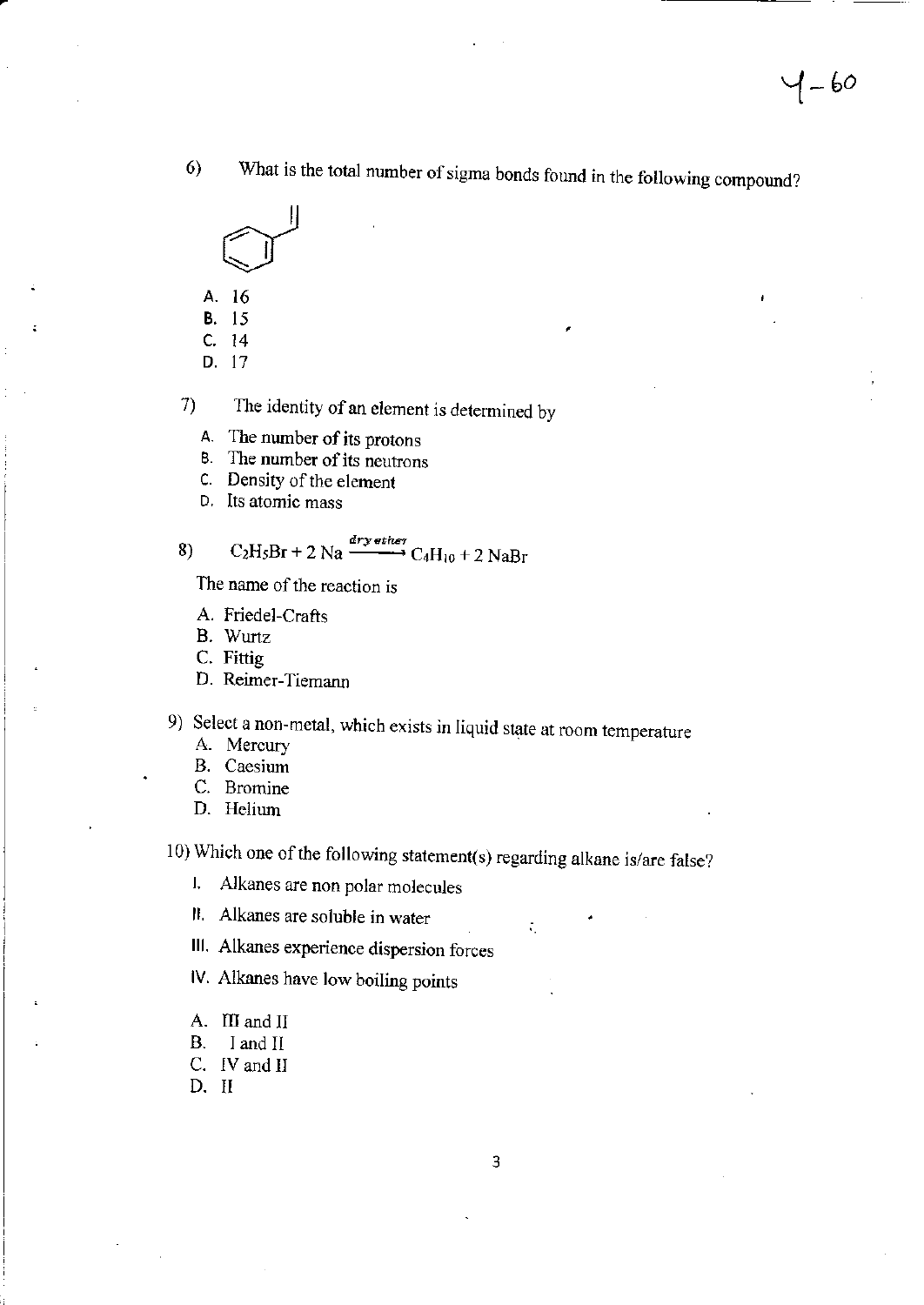What is the total number of sigma bonds found in the following compound?  $6)$ 



- A. 16
- **B.** 15
- $C. 14$
- D. 17

The identity of an element is determined by  $\tau$ 

- A. The number of its protons
- **B.** The number of its neutrons
- C. Density of the element
- D. Its atomic mass

8) 
$$
C_2H_5Br + 2 Na \xrightarrow{cry\text{ after}}
$$
  $C_4H_{10} + 2 NaBr$ 

The name of the reaction is

- A. Friedel-Crafts
- B. Wurtz
- C. Fittig
- D. Reimer-Tiemann

9) Select a non-metal, which exists in liquid state at room temperature

- A. Mercury
- **B.** Caesium
- C. Bromine
- D. Helium

10) Which one of the following statement(s) regarding alkane is/are false?

Alkanes are non polar molecules  $\mathbf{I}$ ,

II. Alkanes are soluble in water

III. Alkanes experience dispersion forces

IV. Alkanes have low boiling points

- A. III and II
- **B.** I and II
- C. IV and II
- D. II

÷,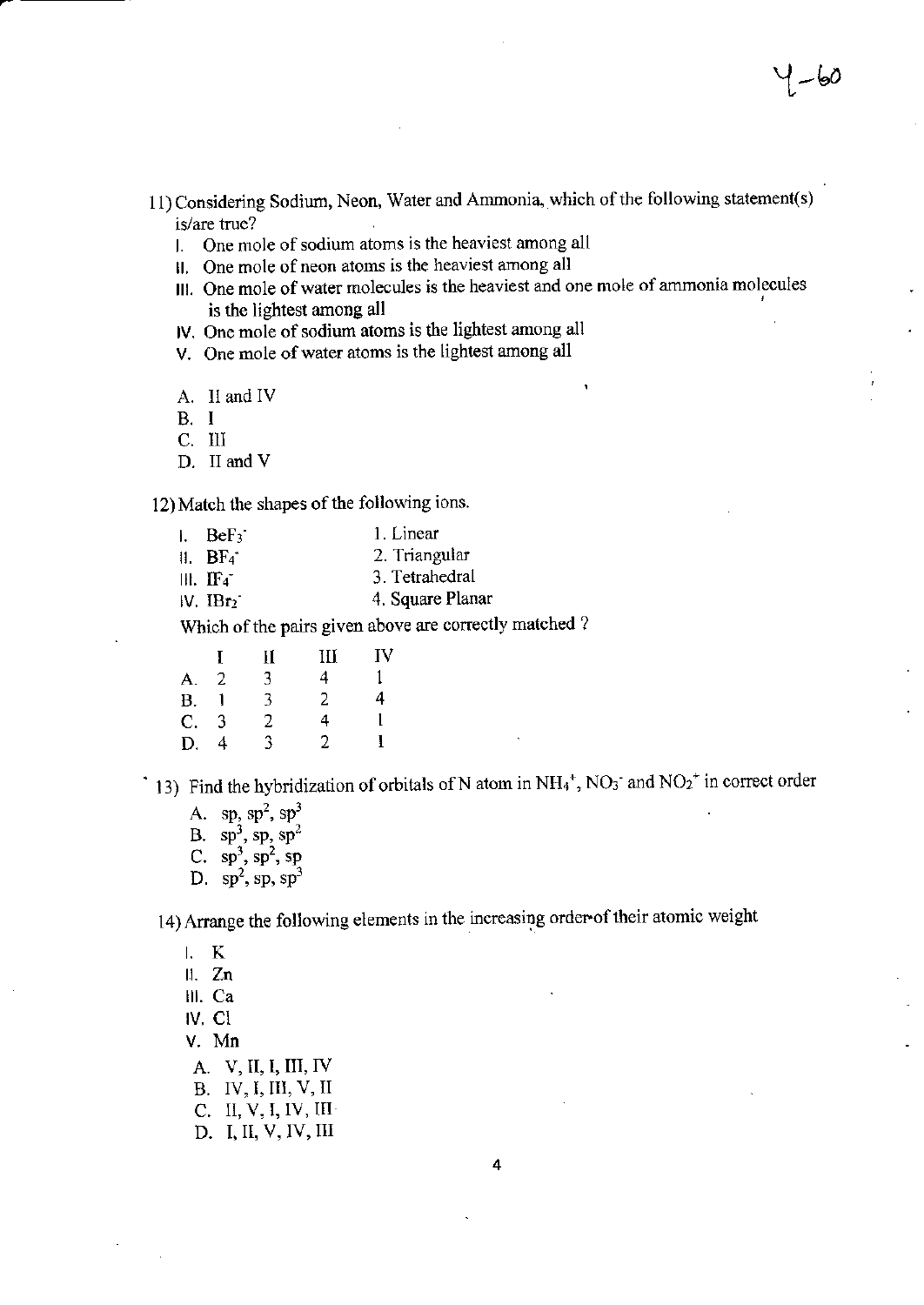- 11) Considering Sodium, Neon, Water and Ammonia, which of the following statement(s) is/are true?
	- 1. One mole of sodium atoms is the heaviest among all
	- II. One mole of neon atoms is the heaviest among all
	- III. One mole of water molecules is the heaviest and one mole of ammonia molecules is the lightest among all

IV. One mole of sodium atoms is the lightest among all

V. One mole of water atoms is the lightest among all

A. II and IV

 $B. I$ 

C. III

D. II and V

12) Match the shapes of the following ions.

| $E = BE_3$             | 1. Linear        |
|------------------------|------------------|
| $\parallel$ . BF4      | 2. Triangular    |
| $III.$ IF <sub>4</sub> | 3. Tetrahedral   |
| IV. IBr <sub>2</sub>   | 4. Square Planar |
|                        |                  |

Which of the pairs given above are correctly matched?

|             | Ι. | П | Ш | IV |
|-------------|----|---|---|----|
| А.          | -2 | 3 | 4 | 1  |
| <b>B.</b>   |    | 3 | 2 | 4  |
| $C_{\cdot}$ | -3 | 2 | 4 |    |
| D.          | 4  | 3 | 2 | 1  |

13) Find the hybridization of orbitals of N atom in  $NH_4^+$ , NO<sub>3</sub> and NO<sub>2</sub><sup>+</sup> in correct order

A. sp,  $sp^2$ ,  $sp^3$ B.  $sp^3$ ,  $sp, sp^2$ C.  $sp^3$ ,  $sp^2$ , sp D.  $sp^2$ , sp,  $sp^3$ 

14) Arrange the following elements in the increasing order of their atomic weight

 $L$  K

 $II. Zn$ 

III. Ca

IV. CI

V. Mn

A. V, II, I, III, IV

- B. IV, I, III, V, II
- C. II, V, I, IV, III
- D. I, II, V, IV, III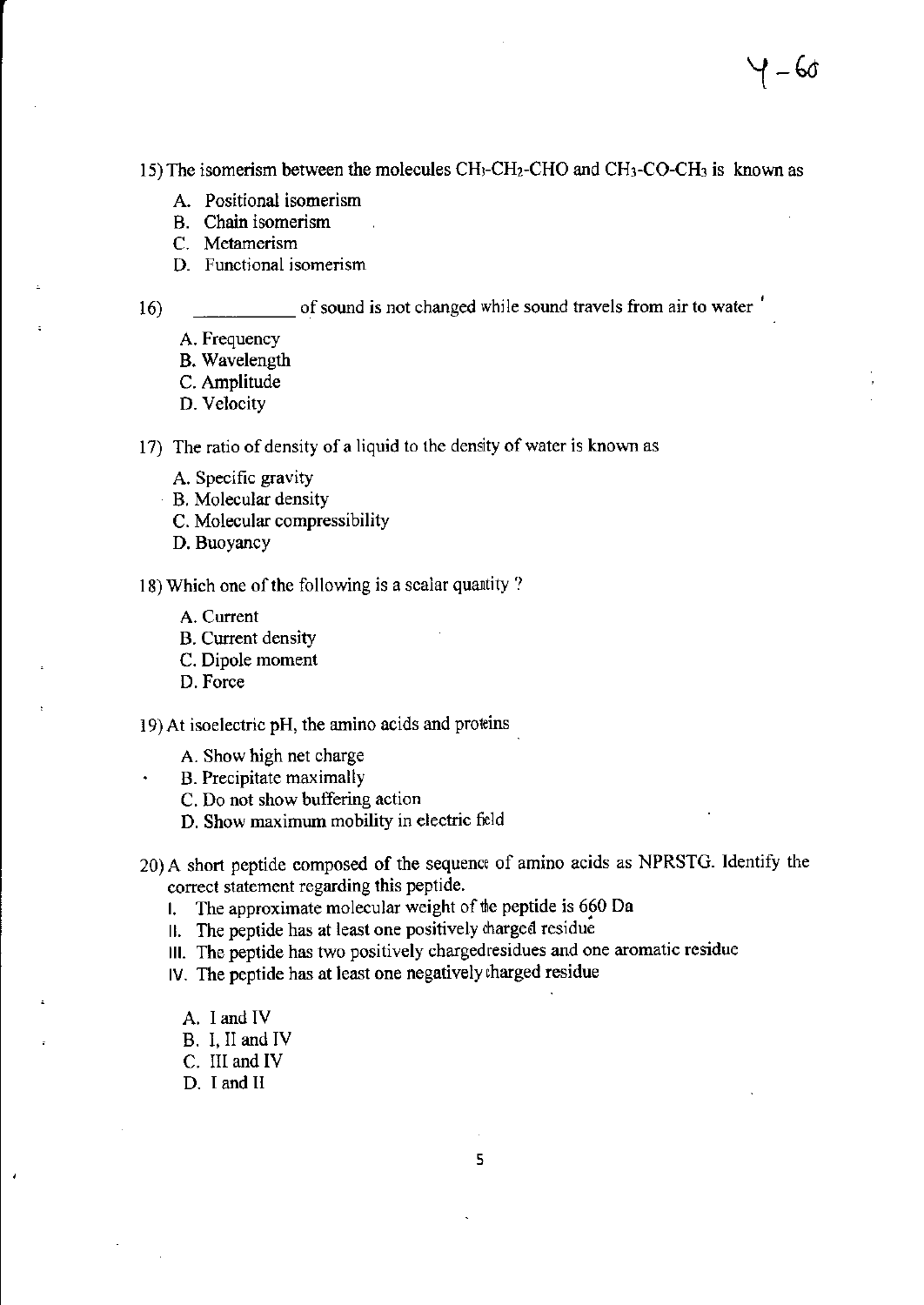15) The isomerism between the molecules  $CH_3$ -CH<sub>2</sub>-CHO and CH<sub>3</sub>-CO-CH<sub>3</sub> is known as

- A. Positional isomerism
- B. Chain isomerism
- C. Metamerism
- D. Functional isomerism

of sound is not changed while sound travels from air to water '

A. Frequency

16)

- B. Wavelength
- C. Amplitude
- D. Velocity

17) The ratio of density of a liquid to the density of water is known as

- A. Specific gravity
- B. Molecular density
- C. Molecular compressibility
- D. Buoyancy

18) Which one of the following is a scalar quantity?

- A. Current
- B. Current density
- C. Dipole moment
- D. Force

19) At isoelectric pH, the amino acids and proteins

- A. Show high net charge
- . B. Precipitate maximally
- C. Do not show buffering action
- D. Show maximum mobility in electric frld

20) A short peptide composed of the sequence of amino acids as NPRSTG. Identify the correct statement regarding this peptide.

l. The approximate molecular weight of the peptide is  $660$  Da

II. The peptide has at least one positively charged residue

lll. The peptide has two positively chargedrcsidues and one aromatic residue

lV. The peptide has at least one negatively charged residue

- A. I and IV
- B. I, II and IV
- C. III and lV
- D. I and ll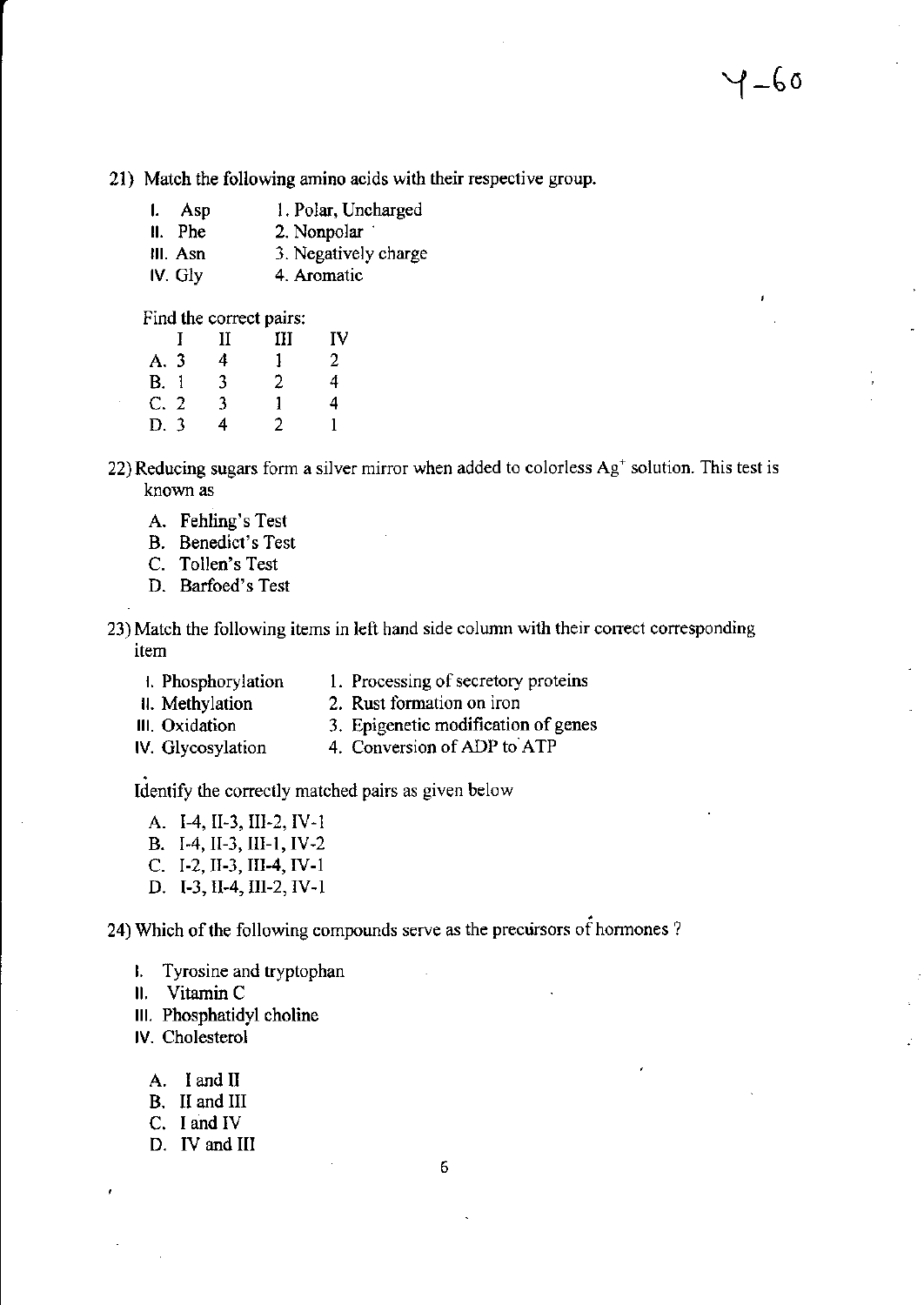21) Match the following amino acids with their respective group.

| l. Asp    | 1. Polar, Uncharged  |
|-----------|----------------------|
| $II.$ Phe | 2. Nonpolar          |
| III. Asn  | 3. Negatively charge |
| IV. Gly   | 4. Aromatic          |

Find the correct pairs:

|                | П | Ш  | IV             |
|----------------|---|----|----------------|
| A. 3           | 4 | Ι. | $\overline{2}$ |
| B. 1           | 3 | 2  | 4              |
| C <sub>2</sub> | 3 | 1  | 4              |
| D. 3           | 4 | 2  | 1              |

22) Reducing sugars form a silver mirror when added to colorless  $Ag<sup>+</sup>$  solution. This test is known as

- A. Fehling's Test
- B. Benedict's Test
- C. Tollen's Test
- D. Barfoed's Test

23)Match the following items in left hand side column with their conect coresponding item

- H. Phosphorylation 1. Processing of secretory proteins<br>
1. Methylation 2. Rust formation on iron
- 2. Rust formation on iron
- III. Oxidation 3. Epigenetic modification of genes<br>IV. Glycosylation 4. Conversion of ADP to ATP
- 4. Conversion of ADP to ATP

Identify the correctly matched pairs as given below

A. I-4, II-3, III-2, IV-1 B. I-4, II-3, III-1, IV-2 C. I-2, II-3, III-4, IV-1

D. I-3,II-4,IIt-2,IV-l

24) Which of the following compounds serve as the precursors of hormones ?

- L Tyrosine and tryptophan
- ll. Vitamin <sup>C</sup>
- lll. Phosphatidyl choline
- lV. Cholesteml
	- A. <sup>I</sup>and II
	- B. II and III
	- C. I and IV
	- D. lV and III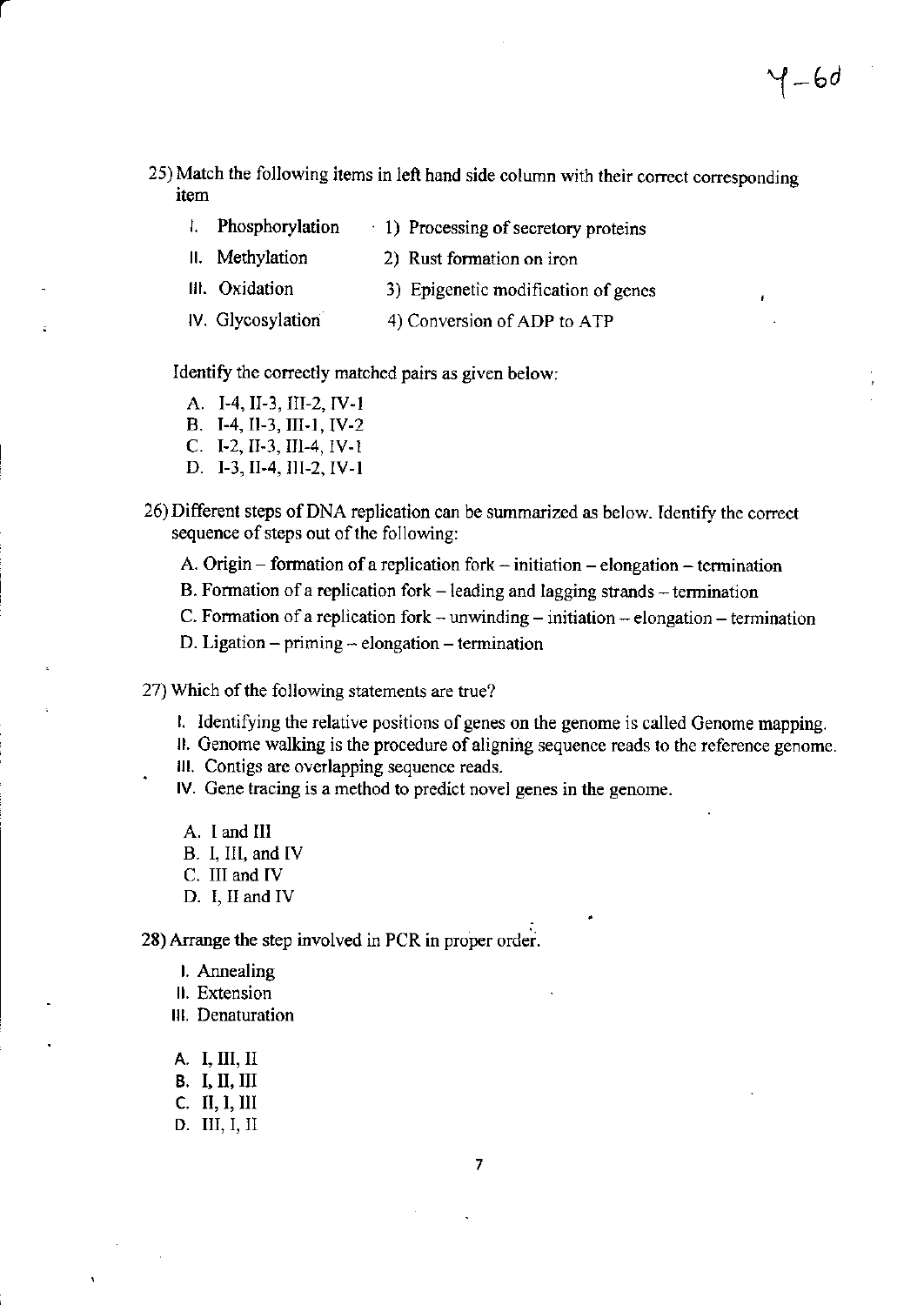- 25) Match the following items in left hand side column with their correct corresponding item
	- l. Phosphorylation  $\cdot$  1) Processing of secretory proteins
	- II. Methylation 2) Rust formation on iron
	- III. Oxidation 3) Epigenetic modification of genes
	- IV. Glycosylation 4) Conversion of ADP to ATP

### Identify the correctly matched pairs as given below:

- A. I-4, II-3, III-2, IV-1
- B. I-4, II-3, III-1, IV-2
- C. I-2, II-3, III-4, IV-1
- D. I-3, II-4, III-2, IV-1
- 26) Different steps of DNA replication can be summarized as below. Identify the correct sequence of steps out of the following:
	- A. Origin formation of a replication fork initiation elongation termination
	- B. Formation of a replication for  $k$  leading and lagging strands termination
	- C. Formation of a replication for  $k$  unwinding initiation elongation termination
	- D. Ligation  $-$  priming  $-$  elongation  $-$  termination
- 27) Which of the following statements are true?
	- 1. Identifying the relative positions of genes on the genome is called Genome mapping.
	- II. Genome walking is the procedure of aligning sequence reads to the reference genome.
	- III. Contigs are overlapping sequence reads.
	- IV. Gene tracing is a method to predict novel genes in the genome.
	- A. I and III
	- B. I, III, and IV
	- C. III and IV
	- D. I, II and IV

28) Arrange the step involved in PCR in proper order.

- I. Annealing
- II. Extension
- III. Denaturation
- A. I, III, II
- **B.** I, II, III
- $C.$  II, I, III
- D. III, I, II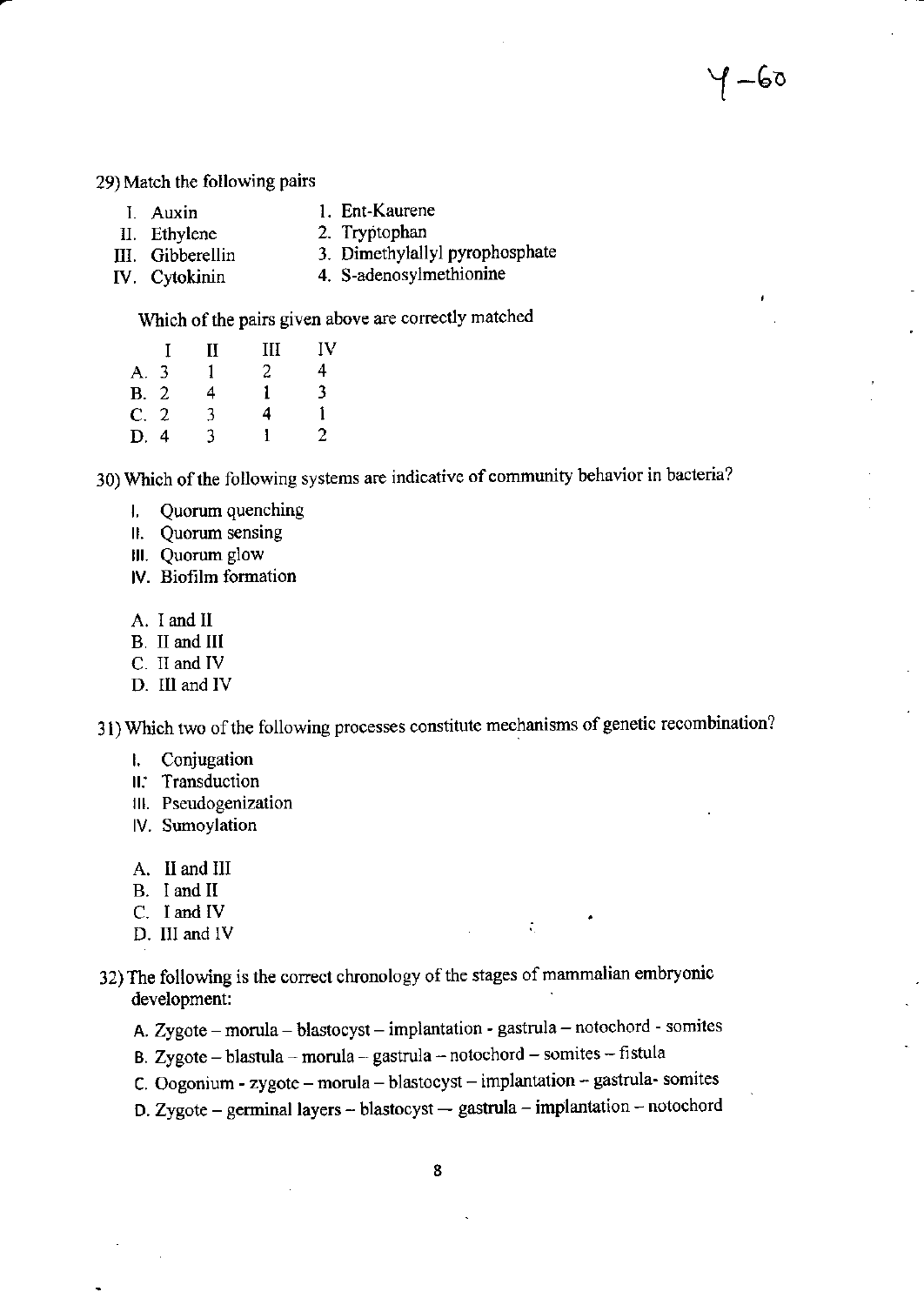∤ –6०

29) Match the following pairs

- 1. Ent-Kaurene I. Auxin
- 2. Tryptophan II. Ethylene
- 3. Dimethylallyl pyrophosphate III. Gibberellin
- 4. S-adenosylmethionine IV. Cytokinin

Which of the pairs given above are correctly matched

|      | Н | Ш | IV |
|------|---|---|----|
| A. 3 |   | 2 | 4  |
| B.2  | 4 | 1 | 3  |
| C.2  | 3 | 4 | 1  |
| D. 4 | 3 |   | 2  |

30) Which of the following systems are indicative of community behavior in bacteria?

- Quorum quenching Ł.
- II. Quorum sensing
- III. Quorum glow
- IV. Biofilm formation
- A. I and II
- B. II and III
- C. II and IV
- D. III and IV

31) Which two of the following processes constitute mechanisms of genetic recombination?

- Conjugation  $\mathbf{l}$ .
- II. Transduction
- III. Pseudogenization
- IV. Sumoylation
- A. II and III
- B. I and II
- C. I and IV
- D. III and IV
- 32) The following is the correct chronology of the stages of mammalian embryonic development:
	- A. Zygote morula blastocyst implantation gastrula notochord somites

 $\mathcal{L}_{\mathcal{L}}$ 

- B. Zygote blastula morula gastrula notochord somites fistula
- C. Oogonium zygote morula blastocyst implantation gastrula- somites
- D. Zygote germinal layers -- blastocyst -- gastrula -- implantation -- notochord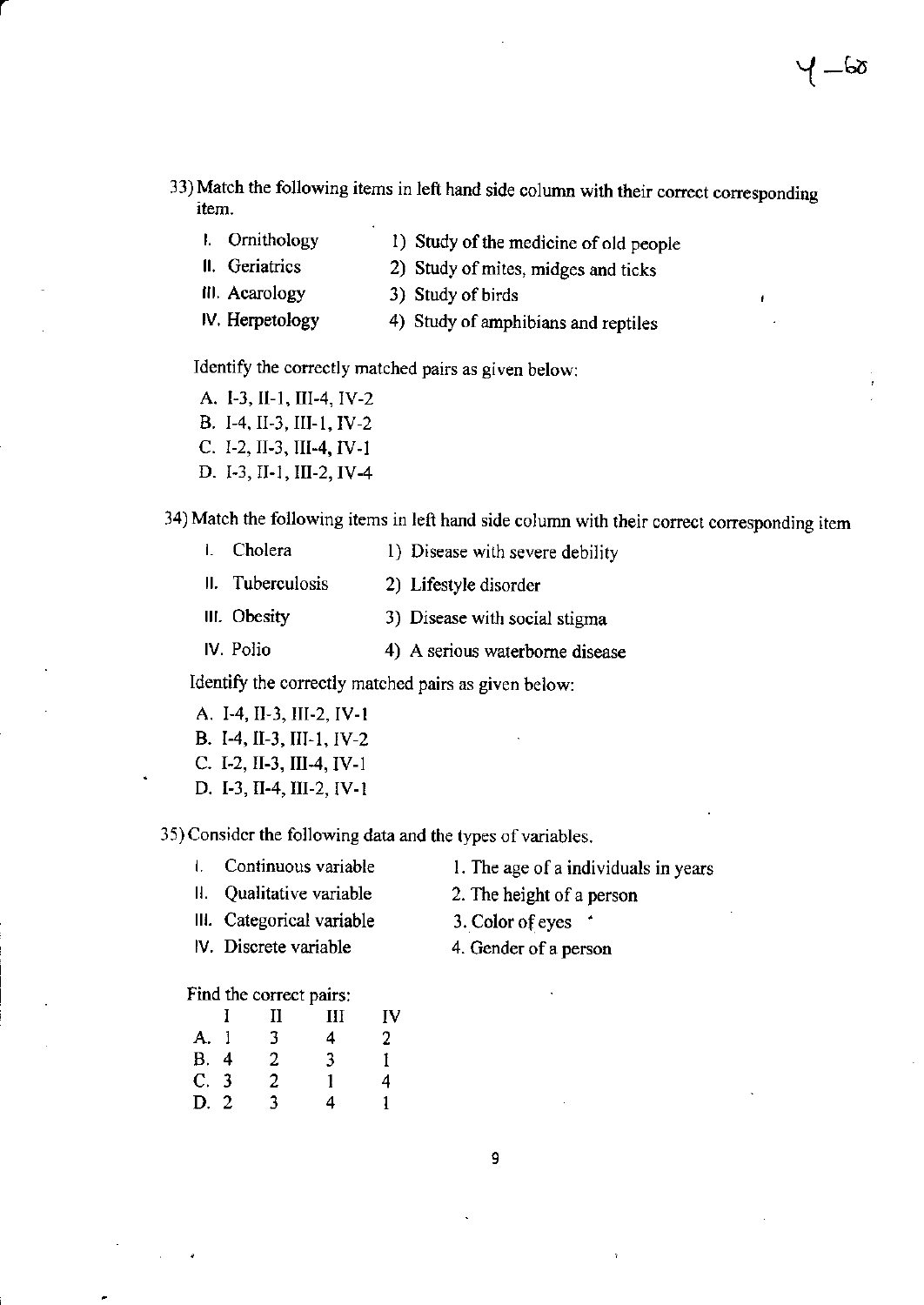- 33) Match the following items in left hand side column with their correct corresponding item.
	- 1. Ornithology
- 1) Study of the medicine of old people

2) Study of mites, midges and ticks

- ll. Geriatrics III. Acarology
- 3) Study of birds
- lV. Herpetology
	- 4) Study of amphibians and reptiles

Identify the corectly matched pairs as given below:

A. I-3, II-1, III-4, IV-2 B. I-4, II-3, III-1, IV-2 C. 1-2, II-3, III-4, IV-1 D. I.3, II.I, III-2, IV.4

34) Match the following items in left hand side column with their correct conesponding item

| <b>1.</b> Cholera | 1) Disease with severe debility |
|-------------------|---------------------------------|
| II. Tuberculosis  | 2) Lifestyle disorder           |
| III. Obesity      | 3) Disease with social stigma   |
| IV. Polio         | 4) A serious waterborne disease |

ldentiry the corectly matched pairs as given below:

- A. I-4, II-3, III-2, IV-1 B. I-4, II-3, III-1, IV-2 C. I-2, II-3, III-4, IV-1
- D. I-3, II.4, III-2, IV-l

35) Consider the following data and the types of variables.

- L Continuous variable
- ll. Qualitative variable
- lll. Categorical variable
- lV. Discrete variable
- 2. The height of a person

1. The age of a individuals in years

- 3. Color of eyes \*
- 4. Gender of a person

### Find the correct pairs:

| H.          | П | Ш | IV          |
|-------------|---|---|-------------|
| A. 1        | 3 | 4 | $2^{\circ}$ |
| <b>B.</b> 4 | 2 | 3 | Ŧ           |
| C. 3        | 2 | 1 | 4           |
| D. 2        | 3 | 4 | 1           |
|             |   |   |             |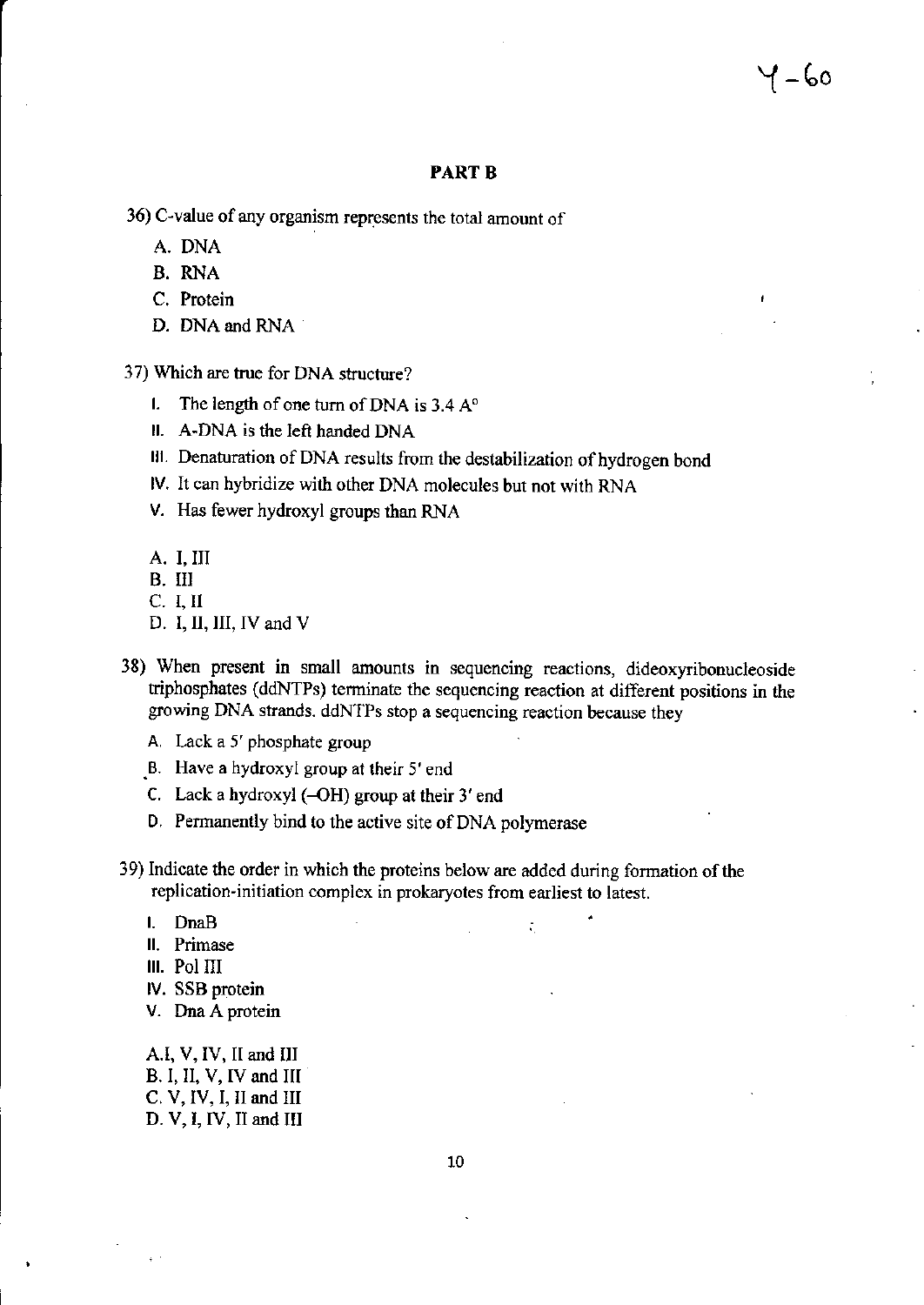#### **PART B**

- 36) C-value of any organism represents the total amount of
	- A. DNA
	- B. RNA
	- C. Protein
	- D. DNA and RNA
- 37) Which are true for DNA structure?
	- 1. The length of one turn of DNA is  $3.4 A^{\circ}$
	- II. A-DNA is the left handed DNA
	- III. Denaturation of DNA results from the destabilization of hydrogen bond
	- IV. It can hybridize with other DNA molecules but not with RNA
	- V. Has fewer hydroxyl groups than RNA
	- A. I. III
	- B. III
	- C. I. II
	- D. I, II, III, IV and  $V$
- 38) When present in small amounts in sequencing reactions, dideoxyribonucleoside triphosphates (ddNTPs) terminate the sequencing reaction at different positions in the growing DNA strands. ddNTPs stop a sequencing reaction because they
	- A. Lack a 5' phosphate group
	- B. Have a hydroxyl group at their 5' end
	- C. Lack a hydroxyl  $(-OH)$  group at their 3' end
	- D. Permanently bind to the active site of DNA polymerase
- 39) Indicate the order in which the proteins below are added during formation of the replication-initiation complex in prokaryotes from earliest to latest.

÷.

- I. DnaB
- II. Primase
- III. Pol III
- IV. SSB protein
- V. Dna A protein

A.I, V, IV, II and III B. I, II, V, IV and III C. V, IV, I, II and III D. V, I, IV, II and III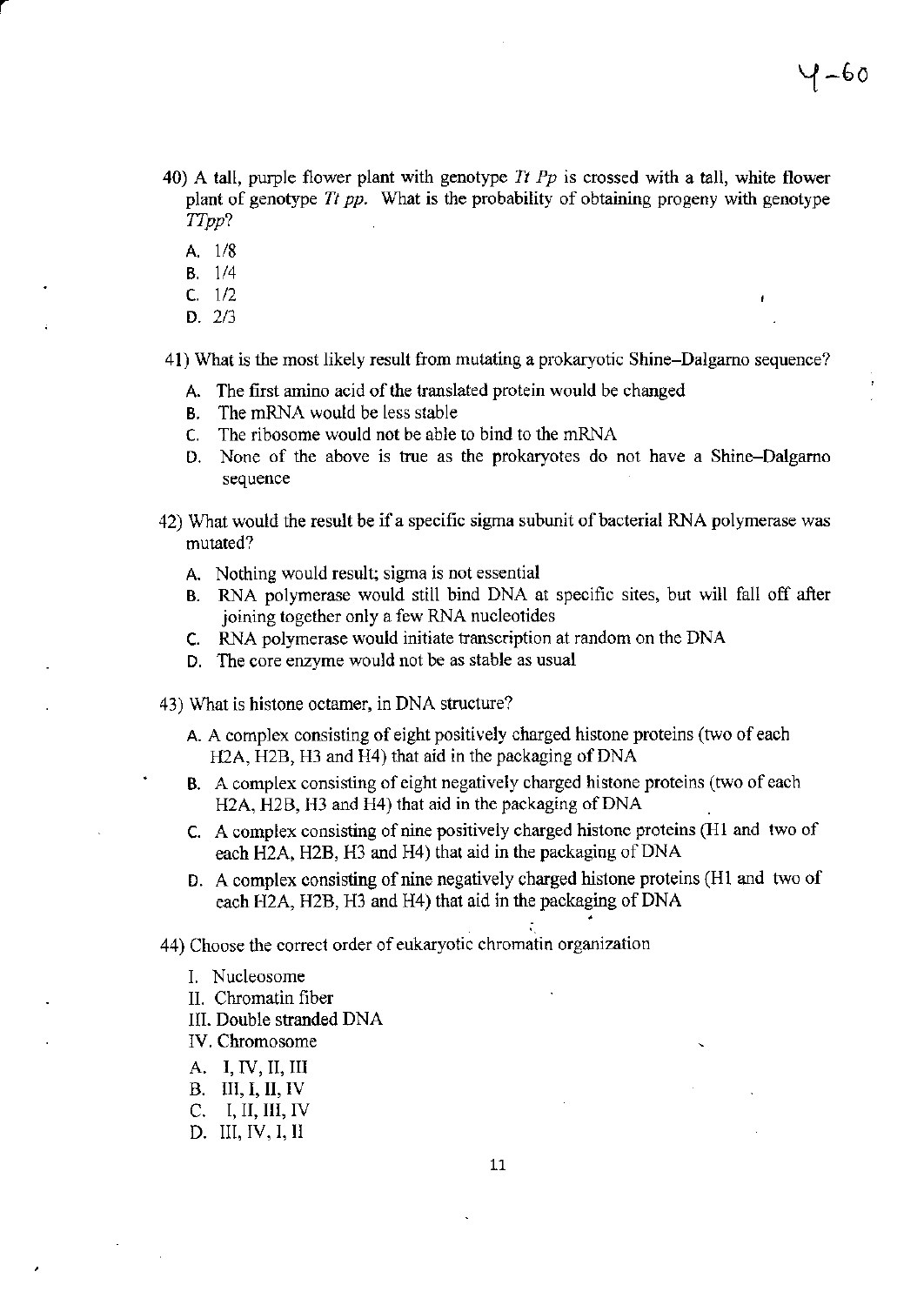- 40) A tall, purple flower plant with genotype Tt Pp is crossed with a tall, white flower plant of genotype  $Tt$  pp. What is the probability of obtaining progeny with genotype TTpp?
	- A. 1/8
	- B. 1/4
	- $C. 1/2$
	- D.2/3

4l) What is the most likely result ftom mutating a prokaryotic Shine-Dalgamo sequence?

- A. The first amino acid of the translated protein would be changed
- B. The mRNA would be less stable
- C. The ribosome would not be able to bind to the nRNA
- D. None of the above is true as the prokaryotes do not have a Shine-Dalgarno sequence
- 42) What would the result be if a specific sigma subunit of bacterial RNA polymerase was mutated?
	- A. Nothing would result; sigma is not essential
	- B. RNA polymerase would still bind DNA at specific sites, but will fall off after joining together only a few RNA nucleotides
	- c. RNA polymerase would initiate fanscription at random on the DNA
	- D. The core enzyme would not be as stable as usual
- 43) What is histone octamer, in DNA structwe?
	- A. A complex consisting of eight positively charged histone proteins (two of each H2A, H2B, H3 and H4) that aid in the packaging of DNA
	- B. A complex consisting of eight negatively charged histone proteins (two of each H2A, H2B, H3 and H4) that aid in the packaging of DNA
	- C. A complex consisting of nine positively charged histone proteins (H1 and two of each H2A, H2B, H3 and H4) that aid in the packaging of DNA
	- D. A complex consisting of nine negatively charged histone proteins (H1 and two of each H2A, H2B, H3 and H4) that aid in the packaging of DNA

i.

44) Choose the correct order of eukaryotic chromatin organization

- L Nucleosome
- II. Chromatin fiber
- lll. Double stranded DNA
- lV, Chromosome
- A. I, IV, II, III
- B, TII,I,II, TV
- C. I,II,III,IV
- D. III, IV, I, II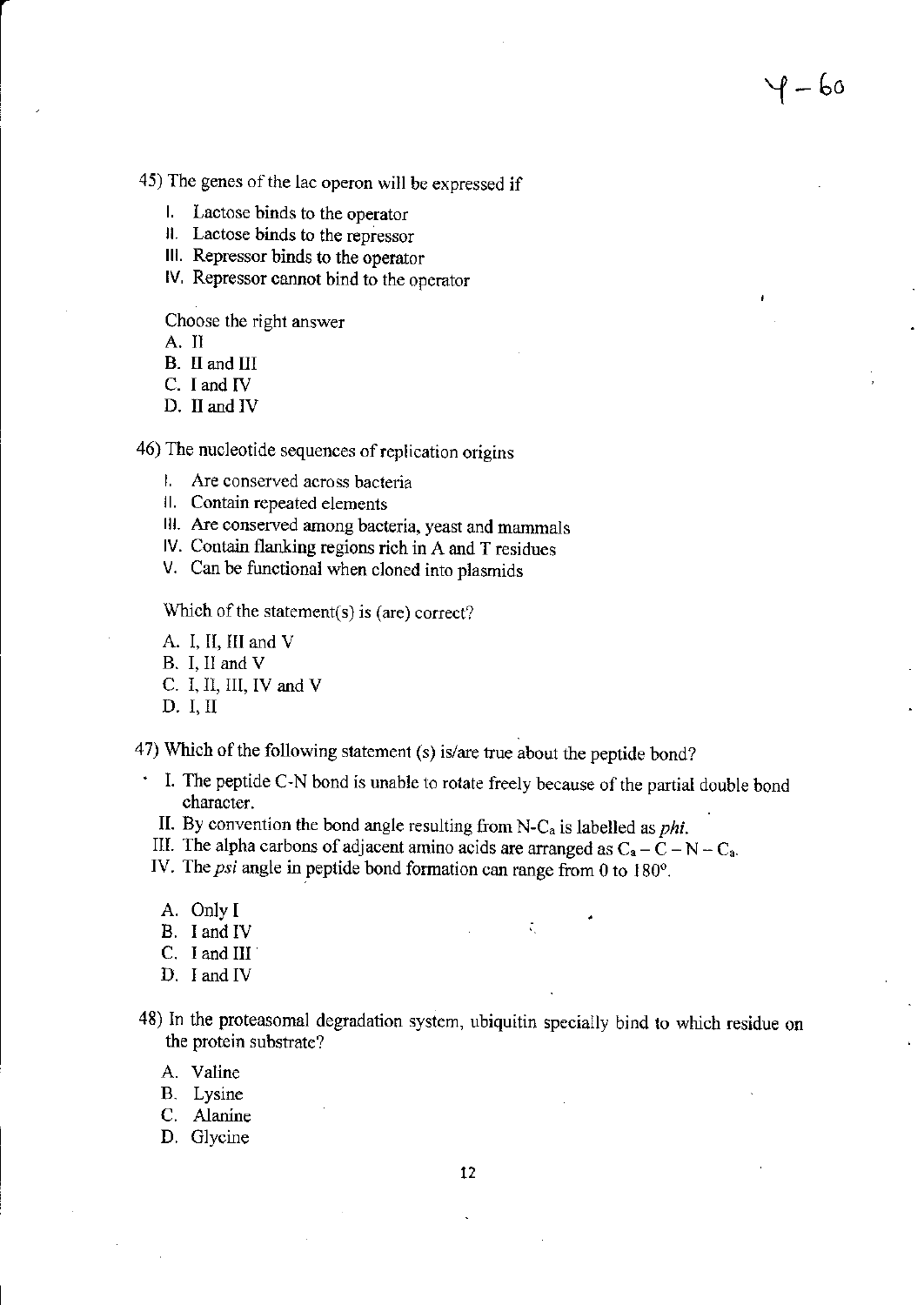45) The genes of the lac operon will be expressed if

- 1. Lactose binds to the operator
- II. Lactose binds to the repressor
- III. Repressor binds to the operator
- IV. Repressor cannot bind to the operator

Choose the right answer

A. II

- B. II and III
- C. I and IV
- D. II and IV

46) The nucleotide sequences of replication origins

- 1. Are conserved across bacteria
- II. Contain repeated elements
- III. Are conserved among bacteria, yeast and mammals
- IV. Contain flanking regions rich in A and T residues
- V. Can be functional when cloned into plasmids

Which of the statement(s) is (are) correct?

- A. I, II, III and V
- B. I. II and V
- C. I, II, III, IV and V
- $D. I, II$

47) Which of the following statement (s) is/are true about the peptide bond?

. I. The peptide C-N bond is unable to rotate freely because of the partial double bond character.

P — 60

- II. By convention the bond angle resulting from N-C<sub>a</sub> is labelled as *phi*.
- III. The alpha carbons of adjacent amino acids are arranged as  $C_a \bar{C} N C_a$ .
- IV. The psi angle in peptide bond formation can range from 0 to 180°.
	- A. Only I
	- B. I and IV
	- $C.$  I and III
	- D. I and IV
- 48) In the proteasomal degradation system, ubiquitin specially bind to which residue on the protein substrate?

 $\tilde{\mathcal{K}}_{\mathbf{a}}$ 

- A. Valine
- B. Lysine
- C. Alanine
- D. Glycine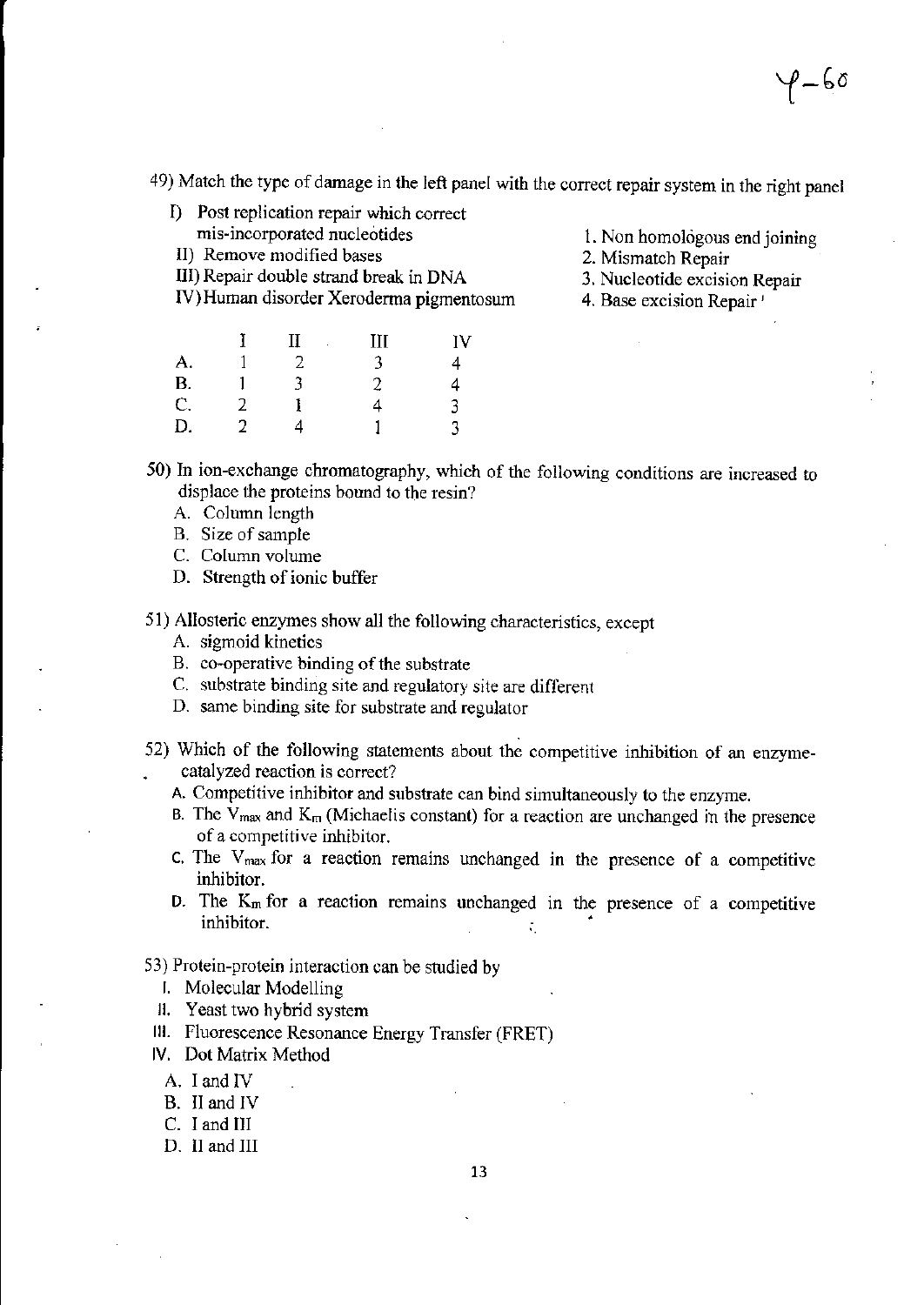$\mathbf{p}$   $\mathbf{p}$   $\mathbf{p}$ 

49) Match the type of damage in the left panel with the correct repair system in the right panel

- I) Post replication repair which correct mis-incorporated nucleotides
- II) Remove modified bases
- III) Repair double strand break in DNA

IV) Human disorder Xeroderma pigmentosum

1. Non homologous end joining

- 2. Mismatch Repair
- 3. Nucleotide excision Repair
- 4. Base excision Repair'

|          |   | П | Ш | IV |
|----------|---|---|---|----|
| A.       |   |   |   | 4  |
| B.<br>C. |   | ٦ | 2 | 4  |
|          | 2 |   | 4 | 3  |
| D.       |   |   |   | 3  |

50) In ion-exchange chromatography, which of the following conditions are increased to displace the proteins bound to the resin?

- A. Column length
- B. Size of sample
- C. Column volume
- D. Strength of ionic buffer
- 51) Allosteric enzymes show all the following characteristics, except
	- A. sigmoid kinetics
	- B. co-operative binding of the substrate
	- C. substrate binding site and regulatory site are different
	- D. same binding site for substrate and regulator
- 52) Which of the following statements about the competitive inhibition of an enzymecatalyzed reaction is correct?
	- A. Competitive inhibitor and substrate can bind simultaneously to the enzyme.
	- B. The  $V_{\text{max}}$  and  $K_{\text{m}}$  (Michaelis constant) for a reaction are unchanged in the presence of a competitive inhibitor.
	- C. The  $V_{max}$  for a reaction remains unchanged in the presence of a competitive inhibitor.
	- D. The  $K_m$  for a reaction remains unchanged in the presence of a competitive inhibitor.

## 53) Protein-protein interaction can be studied by

- **I.** Molecular Modelling
- II. Yeast two hybrid system
- III. Fluorescence Resonance Energy Transfer (FRET)
- IV. Dot Matrix Method
	- A. I and IV
	- B. II and IV
	- C. I and III
	- D. II and III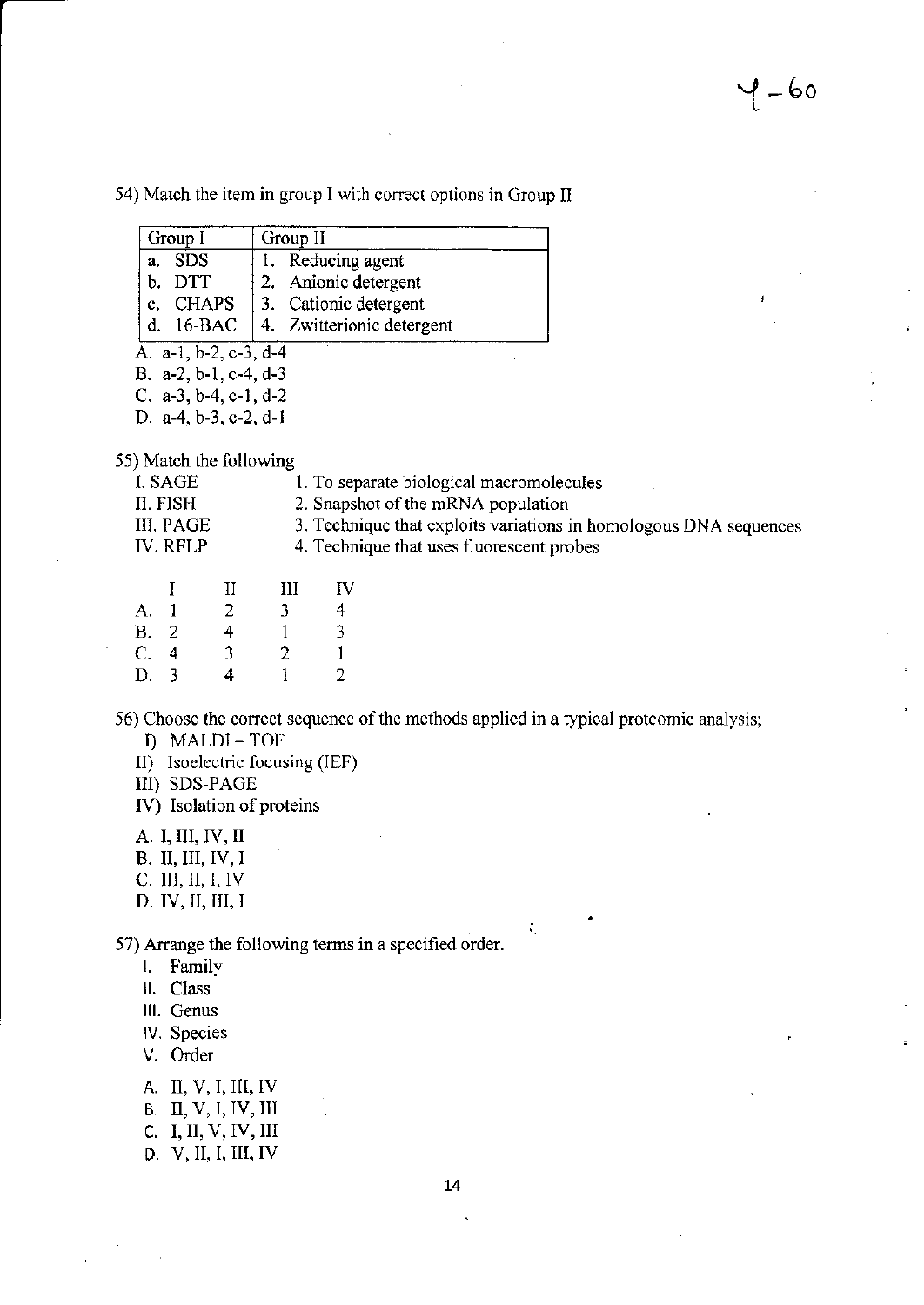54) Match the item in group I with correct options in Group II

| Group I               | Group II                  |  |  |  |
|-----------------------|---------------------------|--|--|--|
| a. SDS                | 1. Reducing agent         |  |  |  |
| b. DTT                | 2. Anionic detergent      |  |  |  |
| $ c.$ CHAPS           | 3. Cationic detergent     |  |  |  |
| d. $16-BAC$           | 4. Zwitterionic detergent |  |  |  |
| A. a-1, b-2, c-3, d-4 |                           |  |  |  |
| B. a-2, b-1, c-4, d-3 |                           |  |  |  |
| C. a-3, b-4, c-1, d-2 |                           |  |  |  |
| D a_4 h_3 c_2 d_1     |                           |  |  |  |

55) Match the following

| I. SAGE         |  | 1. To separate biological macromolecules                          |
|-----------------|--|-------------------------------------------------------------------|
| II. FISH        |  | 2. Snapshot of the mRNA population                                |
| III. PAGE       |  | 3. Technique that exploits variations in homologous DNA sequences |
| <b>IV. RFLP</b> |  | 4. Technique that uses fluorescent probes                         |
|                 |  |                                                                   |
|                 |  |                                                                   |

|             | . . | IJ | TTT | 1 J |
|-------------|-----|----|-----|-----|
| A.          |     | 2  | 3   | 4   |
| <b>B.</b> 2 |     | 4  |     | 3   |
| C.4         |     | 3  | 2   | 1   |
| D. 3        |     | 4  |     | 2   |

56) Choose the correct sequence of the methods applied in a typical proteomic analysis;

- I) MALDI-TOF
- II) Isoelectric focusing (IEF)
- III) SDS-PAGE
- IV) Isolation of proteins
- A. I, III, IV, II
- B. II, III, IV, I
- $C.$  III, II, I, IV
- D. IV, II, III, I

57) Arrange the following terms in a specified order.

- I. Family
- II. Class
- III. Genus
- IV. Species
- V. Order
- A. II, V, I, III, IV
- **B.** II, V, I, IV, III
- C. I, II, V, IV, III
- D. V, II, I, III, IV

÷,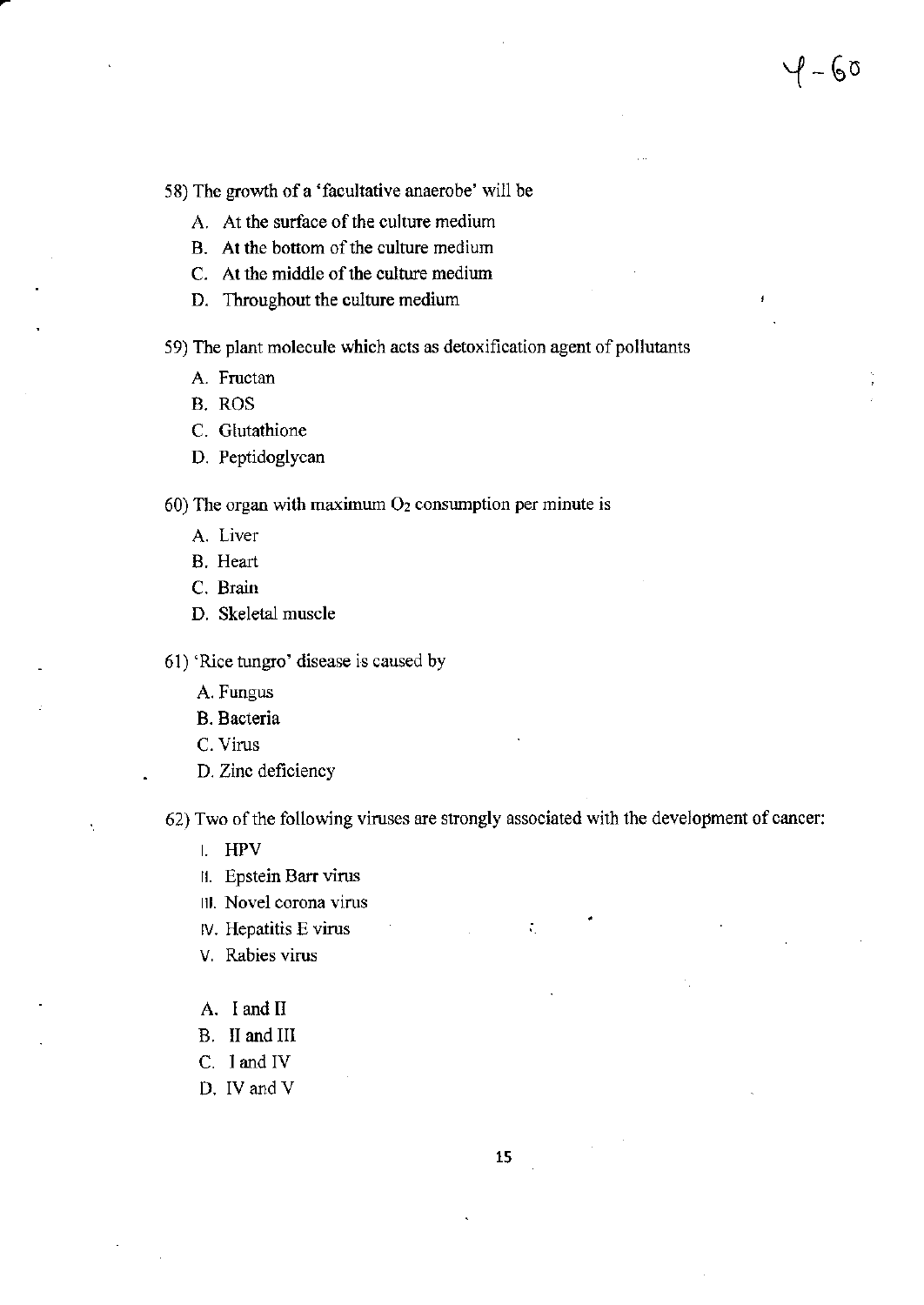58) The growth of a 'facultative anaerobe' will be

- A. At the surface of the culture medium
- B. At the bottom of the culture medium
- C. At the middle of the culture medium
- D. Throughout the culture medium

59) The plant molecule which acts as detoxification agent of pollutants

- A. Fructan
- B. ROS
- C. Glutathione
- D. Peptidoglycan

60) The organ with maximum  $O<sub>2</sub>$  consumption per minute is

- A. Liver
- B. Heart
- C. Brain
- D. Skeletal muscle

61) 'Rice tungro' disease is caused by

- A. Fungus
- **B.** Bacteria
- C. Virus
- D. Zinc deficiency

62) Two of the following viruses are strongly associated with the development of cancer:

 $\zeta_{\rm c}$ 

- $I.$  HPV
- II. Epstein Barr virus
- III. Novel corona virus
- IV. Hepatitis E virus
- V. Rabies virus
- A. I and II
- B. II and III
- C. I and IV
- D. IV and V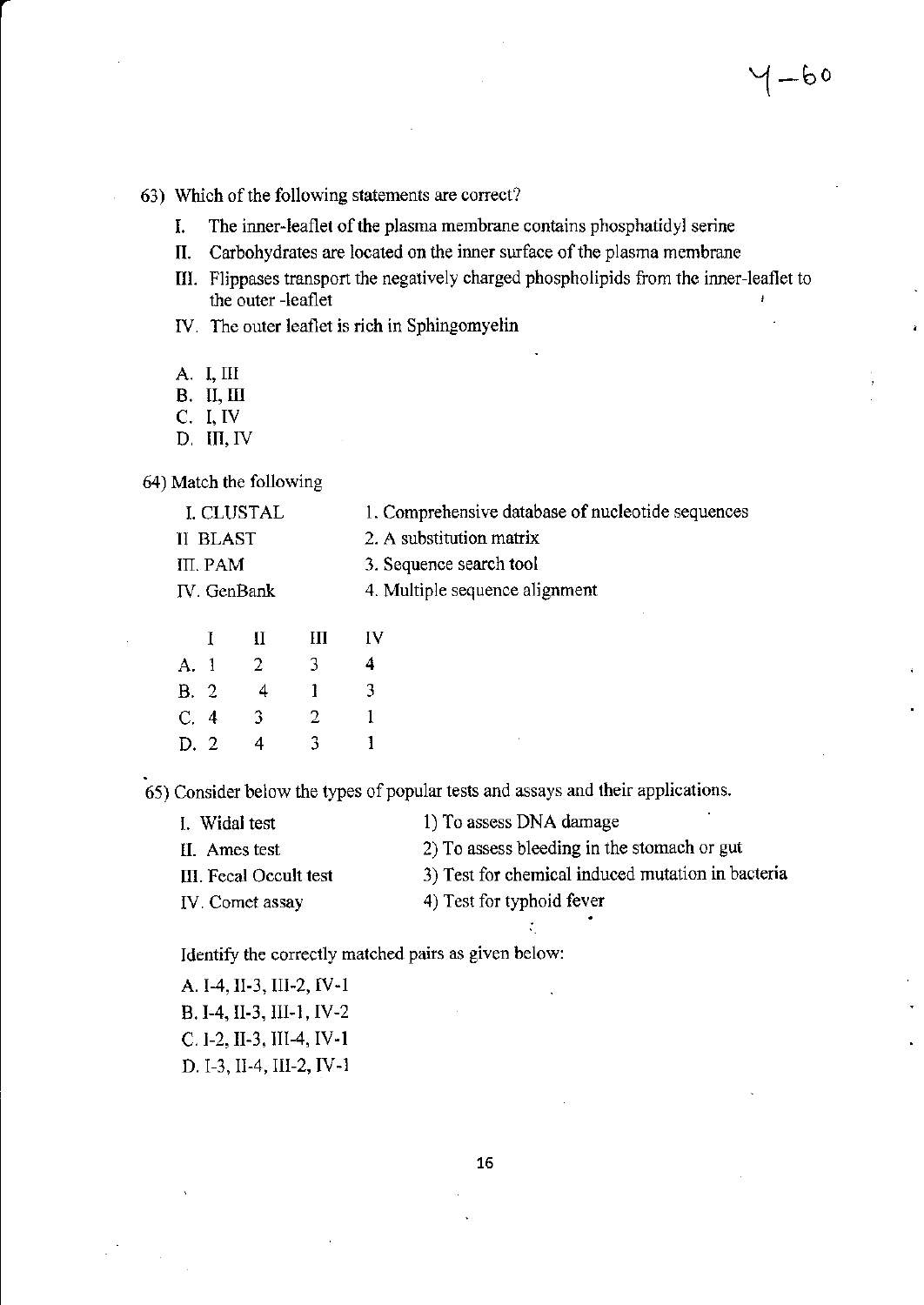63) Which of the following statements are correct?

- I. The inner-leaflet of the plasma membrane contains phosphatidyl serine
- II. Carbohydrates are located on the inner surface of the plasma membrane
- III. Flippases transport the negatively charged phospholipids from thc innerleaflet to the outer -leaflet
- IV. The outer leaflet is rich in Sphingomyelin
- A. I, TI
- B. II,M
- C. I, IV
- D, III, IV

64) Match the following

| I. CLUSTAL      | 1. Comprehensive database of nucleotide sequences |
|-----------------|---------------------------------------------------|
| <b>II BLAST</b> | 2. A substitution matrix                          |
| III. PAM        | 3. Sequence search tool                           |
| IV. GenBank     | 4. Multiple sequence alignment                    |
|                 |                                                   |

|      | $\mathbf{I}$ | П              | Ш | IV |
|------|--------------|----------------|---|----|
| A. 1 |              | $\overline{2}$ | 3 | 4  |
| B.2  |              | 4              | ı | 3  |
| C.4  |              | 3.             | 2 | 1  |
| D.2  |              | 4              | 3 | 1  |

65) Consider below the types of popular tests and assays and their applications.

| 1) To assess DNA damage                           |
|---------------------------------------------------|
| 2) To assess bleeding in the stomach or gut       |
| 3) Test for chemical induced mutation in bacteria |
| 4) Test for typhoid fever                         |
|                                                   |

i

Identify the corectly matched pairs as given below:

| A. I-4, II-3, III-2, IV-1 |  |
|---------------------------|--|
| B. I-4, II-3, III-1, IV-2 |  |
| C. 1-2, II-3, III-4, IV-1 |  |
| D. I-3, II-4, III-2, IV-1 |  |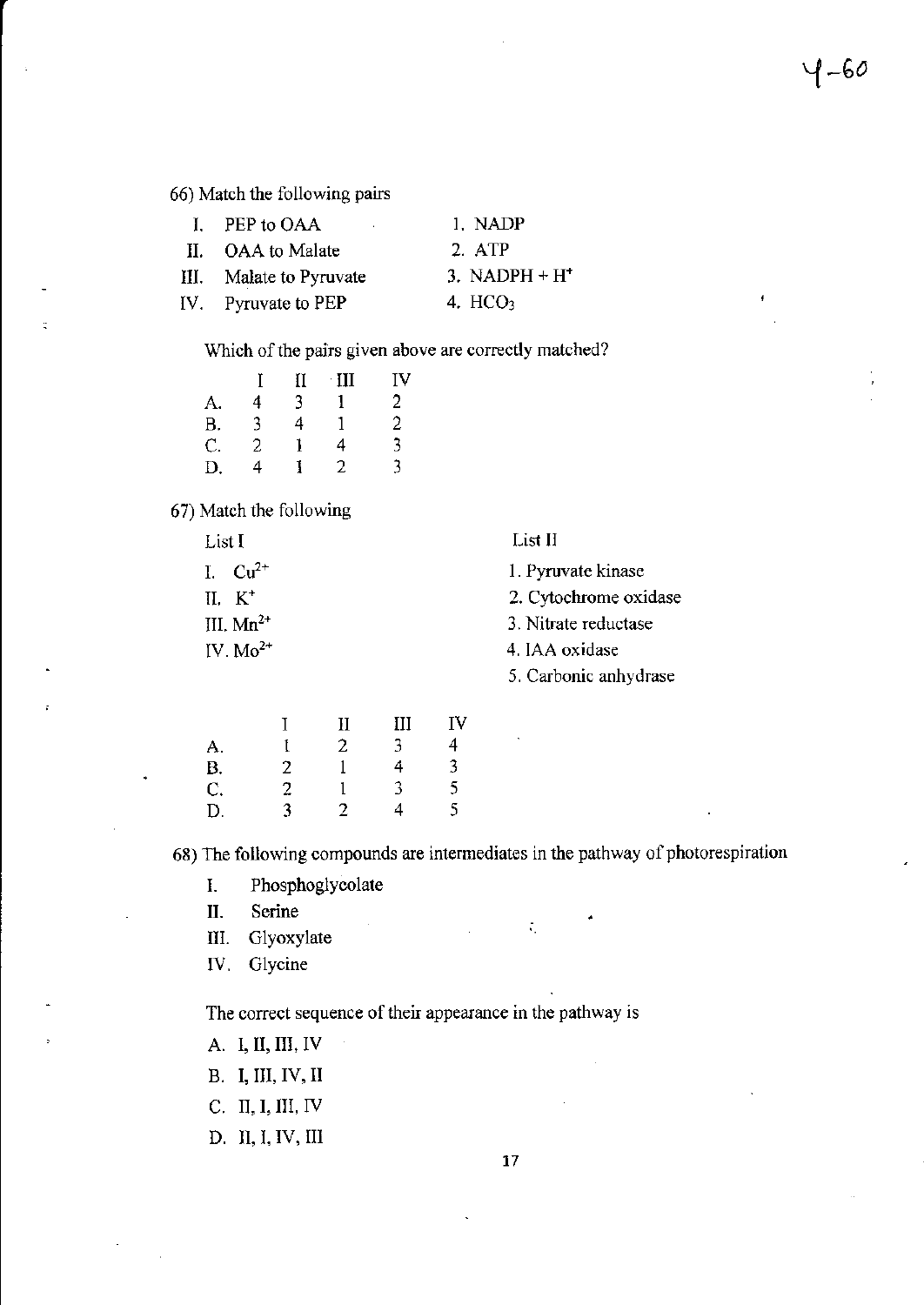66) Match the following pairs

| I. PEP to OAA<br>$\mathbf{r}$ | 1. NADP         |
|-------------------------------|-----------------|
| II. OAA to Malate             | $2.$ ATP        |
| III. Malate to Pyruvate       | 3. NADPH $+ H2$ |
| IV. Pyruvate to PEP           | 4. $HCO3$       |
|                               |                 |

Which of the pairs given above are correctly matched?

|           |   | II | $\cdot$ III | IV             |
|-----------|---|----|-------------|----------------|
| A.        | 4 | 3  |             | 2              |
| <b>B.</b> | 3 | 4  | 1           | $\overline{c}$ |
| C.        | 2 |    | 4           | 3              |
| D.        | 4 |    | 2           | 3              |

#### 67) Match the following

| List 1         | List II               |
|----------------|-----------------------|
| 1. $Cu^{2+}$   | 1. Pyruvate kinase    |
| II. $K^+$      | 2. Cytochrome oxidase |
| III. $Mn^{2+}$ | 3. Nitrate reductase  |
| IV. $Mo^{2+}$  | 4. IAA oxidase        |
|                | 5. Carbonic anhydrase |
|                |                       |

 $\sim$   $\mathbf{r}$ 

|                |   | $\mathbf{I}$ | III | I٧             |
|----------------|---|--------------|-----|----------------|
| A.             |   | $\mathbf{2}$ | 3   | 4              |
|                | 2 |              | 4   | $\overline{3}$ |
| B.<br>C.<br>D. | 2 |              | 3   | 5              |
|                | 3 | 2            |     | 5              |

68) The following compounds are intermediates in the pathway of photorespiration

 $\mathcal{L}_{\mathcal{L}}$ 

Phosphoglycolate I.

Serine II.

Glyoxylate III.

IV. Glycine

The correct sequence of their appearance in the pathway is

- A. I, II, III, IV
- **B.** I, III, IV, II
- C. II, I, III, IV
- D. II, I, IV, III